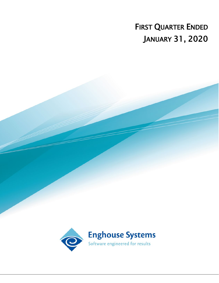# FIRST QUARTER ENDED JANUARY 31, 2020

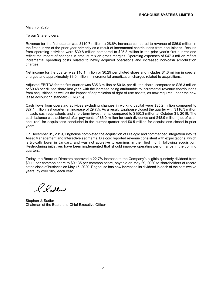March 5, 2020

To our Shareholders,

Revenue for the first quarter was \$110.7 million, a 28.6% increase compared to revenue of \$86.0 million in the first quarter of the prior year primarily as a result of incremental contributions from acquisitions. Results from operating activities were \$30.8 million compared to \$25.8 million in the prior year's first quarter and reflect the impact of changes in product mix on gross margins. Operating expenses of \$47.3 million reflect incremental operating costs related to newly acquired operations and increased non-cash amortization charges.

Net income for the quarter was \$16.1 million or \$0.29 per diluted share and includes \$1.6 million in special charges and approximately \$3.0 million in incremental amortization charges related to acquisitions.

Adjusted EBITDA for the first quarter was \$35.3 million or \$0.64 per diluted share, compared to \$26.3 million or \$0.48 per diluted share last year, with the increase being attributable to incremental revenue contributions from acquisitions as well as the impact of depreciation of right-of-use assets, as now required under the new lease accounting standard (IFRS 16).

Cash flows from operating activities excluding changes in working capital were \$35.2 million compared to \$27.1 million last quarter, an increase of 29.7%. As a result, Enghouse closed the quarter with \$116.3 million in cash, cash equivalents and short-term investments, compared to \$150.3 million at October 31, 2019. The cash balance was achieved after payments of \$6.0 million for cash dividends and \$48.9 million (net of cash acquired) for acquisitions concluded in the current quarter and \$0.5 million for acquisitions closed in prior years.

On December 31, 2019, Enghouse completed the acquisition of Dialogic and commenced integration into its Asset Management and Interactive segments. Dialogic reported revenue consistent with expectations, which is typically lower in January, and was not accretive to earnings in their first month following acquisition. Restructuring initiatives have been implemented that should improve operating performance in the coming quarters.

Today, the Board of Directors approved a 22.7% increase to the Company's eligible quarterly dividend from \$0.11 per common share to \$0.135 per common share, payable on May 29, 2020 to shareholders of record at the close of business on May 15, 2020. Enghouse has now increased its dividend in each of the past twelve years, by over 10% each year.

2 Padler

Stephen J. Sadler Chairman of the Board and Chief Executive Officer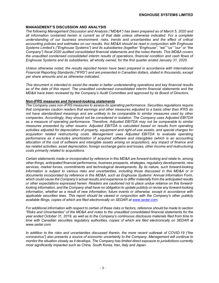#### **MANAGEMENT'S DISCUSSION AND ANALYSIS**

*The following Management Discussion and Analysis ("MD&A") has been prepared as of March 5, 2020 and all information contained herein is current as of that date unless otherwise indicated. For a complete understanding of our business environment, risks, trends and uncertainties and the effect of critical accounting policies and estimates on our results, this MD&A should be read in conjunction with Enghouse Systems Limited's ("Enghouse Systems") and its subsidiaries (together "Enghouse", "we" "us" "our" or "the Company") fiscal 2020 audited consolidated financial statements and the notes thereto. This MD&A covers the unaudited condensed consolidated interim results of operations, financial condition and cash flows of Enghouse Systems and its subsidiaries, all wholly owned, for the first quarter ended January 31, 2020.*

*Unless otherwise noted, the results reported herein have been prepared in accordance with International Financial Reporting Standards ("IFRS") and are presented in Canadian dollars, stated in thousands, except per share amounts and as otherwise indicated.*

*This document is intended to assist the reader in better understanding operations and key financial results as of the date of this report. The unaudited condensed consolidated interim financial statements and the MD&A have been reviewed by the Company's Audit Committee and approved by its Board of Directors.* 

#### *Non-IFRS measures and forward-looking statements*

*The Company uses non-IFRS measures to assess its operating performance. Securities regulations require that companies caution readers that earnings and other measures adjusted to a basis other than IFRS do not have standardized meanings and are unlikely to be comparable to similar measures used by other companies. Accordingly, they should not be considered in isolation. The Company uses Adjusted EBITDA as a measure of operating performance. Therefore, Adjusted EBITDA may not be comparable to similar measures presented by other issuers. Adjusted EBITDA is calculated based on results from operating activities adjusted for depreciation of property, equipment and right-of-use assets, and special charges for acquisition related restructuring costs. Management uses Adjusted EBITDA to evaluate operating performance as it excludes amortization of acquired software and intangibles (which is an accounting allocation of the cost of software and intangible assets arising on acquisition), any impact of finance and tax related activities, asset depreciation, foreign exchange gains and losses, other income and restructuring costs primarily related to acquisitions.*

*Certain statements made or incorporated by reference in this MD&A are forward-looking and relate to, among other things, anticipated financial performance, business prospects, strategies, regulatory developments, new services, market forces, commitments and technological developments. By its nature, such forward-looking information is subject to various risks and uncertainties, including those discussed in this MD&A or in documents incorporated by reference in this MD&A, such as Enghouse Systems' Annual Information Form, which could cause the Company's actual results and experience to differ materially from the anticipated results or other expectations expressed herein. Readers are cautioned not to place undue reliance on this forwardlooking information, and the Company shall have no obligation to update publicly or revise any forward-looking information, whether as a result of new information, future events or otherwise, except in accordance with applicable securities laws. This report should be viewed in conjunction with the Company's other publicly available filings, copies of which are filed electronically on SEDAR at www.sedar.com.*

*For additional information with respect to certain of these risks or factors, reference should be made to section "Risks and Uncertainties" of the MD&A and notes to the unaudited consolidated financial statements for the year ended October 31, 2019, as well as to the Company's continuous disclosure materials filed from time to time with Canadian securities regulatory authorities, copies of which are filed electronically on SEDAR at www.sedar.com.*

*In addition to the risks and uncertainties discussed therein, the more recent outbreak of COVID-19 ("the coronavirus") also presents a source of economic uncertainty to the Company. Management will continue to monitor the situation closely as it develops. The Company has limited direct exposure to jurisdictions currently most significantly impacted such as China, South Korea, Iran, Italy and Japan.*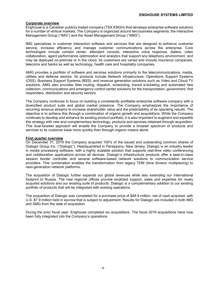#### **Corporate overview**

Enghouse is a Canadian publicly traded company (TSX:ENGH) that develops enterprise software solutions for a number of vertical markets. The Company is organized around two business segments: the Interactive Management Group ("IMG") and the Asset Management Group ("AMG").

IMG specializes in customer interaction software and services that are designed to enhance customer service, increase efficiency and manage customer communications across the enterprise. Core technologies include contact center, attendant console, interactive voice response, dialers, video collaboration, agent performance optimization and analytics that support any telephony environment, and may be deployed on-premise or in the cloud. Its customers are varied and include insurance companies, telecoms and banks as well as technology, health care and hospitality companies.

AMG provides a portfolio of software and services solutions primarily to the telecommunications, media, utilities and defense sectors. Its products include Network infrastructure, Operations Support Systems (OSS), Business Support Systems (BSS), and revenue generation solutions such as Video and Cloud TV solutions. AMG also provides fleet routing, dispatch, scheduling, transit e-ticketing and automated fare collection, communications and emergency control center solutions for the transportation, government, first responders, distribution and security sectors.

The Company continues to focus on building a consistently profitable enterprise software company with a diversified product suite and global market presence. The Company emphasizes the importance of recurring revenue streams to increase shareholder value and the predictability of its operating results. The objective is to achieve this through a combination of organic growth and acquisitions. While the Company continues to develop and enhance its existing product portfolio, it is also important to augment and expedite this strategy with new and complementary technology, products and services obtained through acquisition. This dual-faceted approach will enable the Company to provide a broader spectrum of products and services to its customer base more quickly than through organic means alone.

#### **First quarter overview**

On December 31, 2019 the Company acquired 100% of the issued and outstanding common shares of Dialogic Group Inc. ("Dialogic"). Headquartered in Parsippany, New Jersey, Dialogic is an industry leader in media processing software, with a highly scalable solution that supports real-time video conferencing and collaboration applications across all devices. Dialogic's infrastructure products offer a best-in-class session border controller and several software-based network solutions to communication service providers. This combination enables the transformation from legacy TDM (time division multiplexing) to next-generation network platforms.

The acquisition of Dialogic further expands our global revenues while also extending our international footprint to Russia. The new regional offices provide localized support, sales and expertise for newly acquired solutions and our existing suite of products. Dialogic is a complementary addition to our existing portfolio of products that will be integrated with existing operations.

The acquisition of Dialogic was completed for a purchase price of \$48.9 million, net of cash acquired, with U.S. \$7.9 million held in escrow that is subject to adjustment. Results for Dialogic are included in both IMG and AMG from the date of acquisition.

During the prior fiscal year, Enghouse completed six acquisitions. The fiscal 2019 acquisitions have now been fully integrated into the Company's operations.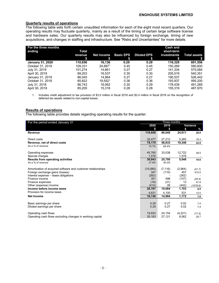#### **Quarterly results of operations**

The following table sets forth certain unaudited information for each of the eight most recent quarters. Our operating results may fluctuate quarterly, mainly as a result of the timing of certain large software license and hardware sales. Our quarterly results may also be influenced by foreign exchange, timing of new acquisitions, and changes in staffing and infrastructure. See "Risks and Uncertainties" for more details.

| For the three months<br>ending | Total<br>revenue | Net income          | <b>Basic EPS</b> | <b>Diluted EPS</b> | <b>Cash and</b><br>short-term<br>investments | <b>Total assets</b> |
|--------------------------------|------------------|---------------------|------------------|--------------------|----------------------------------------------|---------------------|
| <b>January 31, 2020</b>        | S<br>110.656     | 16.136              | S<br>0.29        | 0.29               | S<br>116.329                                 | 691,556             |
| October 31, 2019               | 109.331          | 24.6871             | 0.45             | 0.45               | 150.269                                      | 590,600             |
| July 31, 2019                  | 101.274          | 14.661              | 0.27             | 0.27               | 141.334                                      | 575,084             |
| April 30, 2019                 | 89.203           | 16.537              | 0.30             | 0.30               | 205.519                                      | 540.351             |
| January 31, 2019               | 86.045           | 14.964              | 0.27             | 0.27               | 190.537                                      | 526.442             |
| October 31, 2018               | 85.822           | 19.552 <sup>1</sup> | 0.36             | 0.36               | 193.937                                      | 495,200             |
| July 31, 2018                  | 86.743           | 16.062              | 0.30             | 0.29               | 178.439                                      | 491,269             |
| April 30, 2018                 | 85.205           | 15.318              | 0.28             | 0.28               | 155.319                                      | 487.970             |

1. Includes credit adjustment to tax provision of \$3.0 million in fiscal 2019 and \$2.4 million in fiscal 2018 on the recognition of deferred tax assets related to non-capital losses.

#### **Results of operations**

The following table provides details regarding operating results for the quarter:

| For the period ended January 31                              | Three months    |          |             |          |
|--------------------------------------------------------------|-----------------|----------|-------------|----------|
|                                                              | 2020            | 2019     |             | Variance |
|                                                              |                 | S        |             | $\%$     |
| <b>Revenue</b>                                               | 110,656         | 86,045   | 24,611      | 28.6     |
| Direct costs                                                 | 32,477          | 27,212   | 5,265       |          |
|                                                              | 78,179          |          | 19,346      | 19.3     |
| Revenue, net of direct costs<br>As a % of revenue            |                 | 58,833   |             | 32.9     |
|                                                              | 70.7%           | 68.4%    |             |          |
| Operating expenses                                           | 45,760          | 33,038   | 12,722      | 38.5     |
| Special charges                                              | 1,576           |          | 1,576       |          |
| <b>Results from operating activities</b>                     | 30,843          | 25,795   | 5,048       | 19.6     |
| As a % of revenue                                            | 27.9%           | 30.0%    |             |          |
|                                                              |                 |          |             |          |
| Amortization of acquired software and customer relationships | (10,080)<br>347 | (7, 116) | (2,964)     | (41.7)   |
| Foreign exchange gains (losses)                              |                 | (110)    | 457         | 415.5    |
| Interest expense - lease obligations<br>Finance income       | (262)           |          | (262)       |          |
|                                                              | 351             | 498      | (147)<br>13 | (29.5)   |
| Finance expenses                                             | (18)            | (31)     |             | 41.9     |
| Other (expense) income<br>Income before income taxes         | (414)           | 28       | (442)       | (1578.6) |
| Provision for income taxes                                   | 20,767          | 19,064   | 1,703       | 8.9      |
|                                                              | 4,631           | 4,100    | 531         | 13.0     |
| <b>Net Income</b>                                            | 16,136          | 14,964   | 1,172       | 7.8      |
|                                                              |                 |          |             |          |
| Basic earnings per share                                     | 0.29            | 0.27     | 0.02        | 7.4      |
| Diluted earnings per share                                   | 0.29            | 0.27     | 0.02        | 7.4      |
| Operating cash flows                                         | 19,933          | 24,154   | (4,221)     | (17.5)   |
| Operating cash flows excluding changes in working capital    | 35,183          | 27,121   | 8,062       | 29.7     |
|                                                              |                 |          |             |          |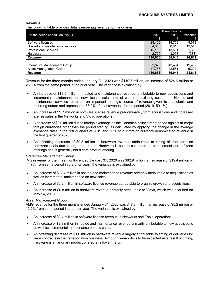#### **Revenue**

The following table provides details regarding revenue for the quarter:

|                                 | Three months |        |          |  |
|---------------------------------|--------------|--------|----------|--|
| For the period ended January 31 | 2020         | 2019   | Variance |  |
|                                 | S            | \$     | \$       |  |
| Software licenses               | 28.400       | 18.728 | 9,672    |  |
| Hosted and maintenance services | 64,353       | 50.813 | 13,540   |  |
| Professional services           | 15.183       | 13.501 | 1,682    |  |
| Hardware                        | 2,720        | 3.003  | (283)    |  |
| <b>Revenue</b>                  | 110.656      | 86.045 | 24,611   |  |
|                                 |              |        |          |  |
| Interactive Management Group    | 62.873       | 43.464 | 19.409   |  |
| Asset Management Group          | 47,783       | 42.581 | 5,202    |  |
| Revenue                         | 110.656      | 86.045 | 24.611   |  |

Revenue for the three months ended January 31, 2020 was \$110.7 million, an increase of \$24.6 million or 28.6% from the same period in the prior year. The variance is explained by:

- An increase of \$13.5 million in hosted and maintenance revenue, attributable to new acquisitions and incremental maintenance on new license sales, net of churn on existing customers. Hosted and maintenance services represent an important strategic source of revenue given its predictable and recurring nature and represented 58.2% of total revenues for the period (2019–59.1%).
- An increase of \$9.7 million in software license revenue predominately from acquisitions and increased license sales in the Networks and Vidyo operations.
- A decrease of \$2.0 million due to foreign exchange as the Canadian dollar strengthened against all major foreign currencies other than the pound sterling, as calculated by applying the change in the average exchange rates in the first quarters of 2019 and 2020 to our foreign currency denominated revenue in the first quarter of 2020.
- An offsetting decrease of \$0.3 million in hardware revenue attributable to timing of transportation hardware deals due to large lead times. Hardware is sold to customers to complement our software offerings and is generally not a core product offering.

#### *Interactive Management Group*

IMG revenue for the three months ended January 31, 2020 was \$62.9 million, an increase of \$19.4 million or 44.7% from same period in the prior year. The variance is explained by:

- An increase of \$12.4 million in hosted and maintenance revenue primarily attributable to acquisitions as well as incremental maintenance on new sales.
- An increase of \$6.2 million in software license revenue attributable to organic growth and acquisitions.
- An increase of \$0.8 million in hardware revenue primarily attributable to Vidyo, which was acquired on May 14, 2019.

#### *Asset Management Group*

AMG revenue for the three months ended January 31, 2020 was \$47.8 million, an increase of \$5.2 million or 12.2% from same period in the prior year. The variance is explained by:

- An increase of \$3.4 million in software license revenue in Networks and Espial operations.
- An increase of \$2.8 million in hosted and maintenance revenue primarily attributable to new acquisitions as well as incremental maintenance on new sales.
- An offsetting decrease of \$1.0 million in hardware revenue largely attributable to timing of deliveries for large contracts in the transportation business. Although variability is to be expected as a result of timing, hardware is an ancillary product offered at a lower margin.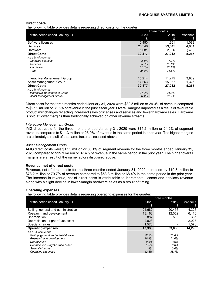#### **Direct costs**

The following table provides details regarding direct costs for the quarter:

|                                 | Three months |        |          |  |  |
|---------------------------------|--------------|--------|----------|--|--|
| For the period ended January 31 | 2020         | 2019   | Variance |  |  |
|                                 | \$           | S      | \$       |  |  |
| Software licenses               | 2,450        | 1.361  | 1,089    |  |  |
| Services                        | 28,346       | 23.545 | 4,801    |  |  |
| Hardware                        | 1,681        | 2,306  | (625)    |  |  |
| <b>Direct Costs</b>             | 32,477       | 27,212 | 5,265    |  |  |
| As a % of revenue               |              |        |          |  |  |
| Software licenses               | 8.6%         | 7.3%   |          |  |  |
| Services                        | 35.6%        | 36.6%  |          |  |  |
| Hardware                        | 61.8%        | 76.8%  |          |  |  |
| Total                           | 29.3%        | 31.6%  |          |  |  |
|                                 |              |        |          |  |  |
| Interactive Management Group    | 15,214       | 11,275 | 3,939    |  |  |
| Asset Management Group          | 17,263       | 15,937 | 1,326    |  |  |
| <b>Direct Costs</b>             | 32,477       | 27,212 | 5,265    |  |  |
| As a % of revenue               |              |        |          |  |  |
| Interactive Management Group    | 24.2%        | 25.9%  |          |  |  |
| <b>Asset Management Group</b>   | 36.1%        | 37.4%  |          |  |  |

Direct costs for the three months ended January 31, 2020 were \$32.5 million or 29.3% of revenue compared to \$27.2 million or 31.6% of revenue in the prior fiscal year. Overall margins improved as a result of favourable product mix changes reflecting increased sales of licenses and services and fewer hardware sales. Hardware is sold at lower margins than traditionally achieved on other revenue streams.

#### *Interactive Management Group*

IMG direct costs for the three months ended January 31, 2020 were \$15.2 million or 24.2% of segment revenue compared to \$11.3 million or 25.9% of revenue in the same period in prior year. The higher margins are ultimately a result of the same factors discussed above.

#### *Asset Management Group*

AMG direct costs were \$17.3 million or 36.1% of segment revenue for the three months ended January 31, 2020 compared to \$15.9 million or 37.4% of revenue in the same period in the prior year. The higher overall margins are a result of the same factors discussed above.

#### **Revenue, net of direct costs**

Revenue, net of direct costs for the three months ended January 31, 2020 increased by \$19.3 million to \$78.2 million or 70.7% of revenue compared to \$58.8 million or 68.4% in the same period in the prior year. The increase in revenue, net of direct costs is attributable to incremental license and services revenue along with a slight decline in lower-margin hardware sales as a result of timing.

#### **Operating expenses**

The following table provides details regarding operating expenses for the quarter:

|                                     | Three months |         |          |  |
|-------------------------------------|--------------|---------|----------|--|
| For the period ended January 31     | 2020         | 2019    | Variance |  |
|                                     | \$           | S       | \$       |  |
| Selling, general and administrative | 24,682       | 20,456  | 4,226    |  |
| Research and development            | 18.168       | 12.052  | 6.116    |  |
| Depreciation                        | 887          | 530     | 357      |  |
| Depreciation - right-of-use asset   | 2,023        |         | 2,023    |  |
| Special charges                     | 1.576        |         | 1,576    |  |
| <b>Operating expenses</b>           | 47.336       | 33,038  | 14,298   |  |
| As a % of revenue                   |              |         |          |  |
| Selling, general and administrative | 22.3%        | 23.8%   |          |  |
| Research and development            | 16.4%        | 14.0%   |          |  |
| Depreciation                        | 0.8%         | 0.6%    |          |  |
| Depreciation – right-of-use asset   | 1.8%         | $0.0\%$ |          |  |
| Special charges                     | 1.4%         | $0.0\%$ |          |  |
| Operating expenses                  | 42.8%        | 38.4%   |          |  |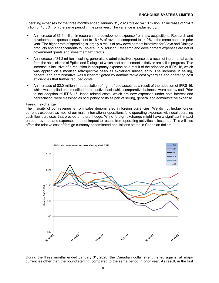Operating expenses for the three months ended January 31, 2020 totaled \$47.3 million, an increase of \$14.3 million or 43.3% from the same period in the prior year. The variance is explained by:

- An increase of \$6.1 million in research and development expense from new acquisitions. Research and development expense is equivalent to 16.4% of revenue compared to 14.0% in the same period in prior year. The higher rate of spending is largely a result of new development initiatives for Vidyo and Dialogic products and enhancements to Espial's IPTV solution. Research and development expenses are net of government grants and investment tax credits.
- An increase of \$4.2 million in selling, general and administrative expense as a result of incremental costs from the acquisitions of Eptica and Dialogic at which cost containment initiatives are still in progress. This increase is inclusive of a reduction in occupancy expense as a result of the adoption of IFRS 16, which was applied on a modified retrospective basis as explained subsequently. The increase in selling, general and administrative was further mitigated by administrative cost synergies and operating cost efficiencies that further reduced costs.
- An increase of \$2.0 million in depreciation of right-of-use assets as a result of the adoption of IFRS 16, which was applied on a modified retrospective basis while comparative balances were not revised. Prior to the adoption of IFRS 16, lease related costs, which are now expensed under both interest and depreciation, were classified as occupancy costs as part of selling, general and administrative expense.

#### **Foreign exchange**

The majority of our revenue is from sales denominated in foreign currencies. We do not hedge foreign currency exposure as most of our major international operations fund operating expenses with local operating cash flow surpluses that provide a natural hedge. While foreign exchange might have a significant impact on both revenue and expenses, the net impact to results from operating activities is lessened. This will also affect the relative cost of foreign currency denominated acquisitions stated in Canadian dollars.



During the three months ended January 31, 2020, the Canadian dollar strengthened against all major currencies other than the pound sterling, compared to the same period in prior year. As result, in the first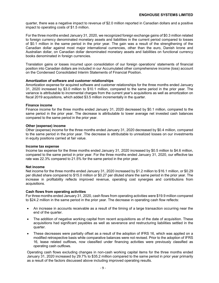quarter, there was a negative impact to revenue of \$2.0 million reported in Canadian dollars and a positive impact to operating costs of \$1.5 million.

For the three months ended January 31, 2020, we recognized foreign exchange gains of \$0.3 million related to foreign currency denominated monetary assets and liabilities in the current period compared to losses of \$0.1 million in the same period in the prior year. The gain was a result of the strengthening of the Canadian dollar against most major international currencies, other than the euro, Danish krone and Australian dollar, on Canadian dollar denominated monetary assets and liabilities on functional currency books denominated in foreign currencies.

Translation gains or losses incurred upon consolidation of our foreign operations' statements of financial position into Canadian dollars are included in our Accumulated other comprehensive income (loss) account on the Condensed Consolidated Interim Statements of Financial Position.

#### **Amortization of software and customer relationships**

Amortization expense for acquired software and customer relationships for the three months ended January 31, 2020 increased by \$3.0 million to \$10.1 million, compared to the same period in the prior year. The variance is attributable to incremental charges from the current year's acquisitions as well as amortization on fiscal 2019 acquisitions, which added \$3.5 million incrementally in the quarter.

#### **Finance income**

Finance income for the three months ended January 31, 2020 decreased by \$0.1 million, compared to the same period in the prior year. The decrease is attributable to lower average net invested cash balances compared to the same period in the prior year.

#### **Other (expense) income**

Other (expense) income for the three months ended January 31, 2020 decreased by \$0.4 million, compared to the same period in the prior year. The decrease is attributable to unrealized losses on our investments in equity positions carried at fair value.

#### **Income tax expense**

Income tax expense for the three months ended January 31, 2020 increased by \$0.5 million to \$4.6 million, compared to the same period in prior year. For the three months ended January 31, 2020, our effective tax rate was 22.3% compared to 21.5% for the same period in the prior year.

#### **Net income**

Net income for the three months ended January 31, 2020 increased by \$1.2 million to \$16.1 million, or \$0.29 per diluted share compared to \$15.0 million or \$0.27 per diluted share the same period in the prior year. The increase in profitability reflects improved revenue, operating cost synergies and contributions from acquisitions.

#### **Cash flows from operating activities**

For three months ended January 31, 2020, cash flows from operating activities were \$19.9 million compared to \$24.2 million in the same period in the prior year. The decrease in operating cash flow reflects:

- An increase in accounts receivable as a result of the timing of a large transaction occurring near the end of the quarter.
- The addition of negative working capital from recent acquisitions as of the date of acquisition. These acquisitions had significant payables as well as severance and restructuring liabilities settled in the quarter.
- These decreases were partially offset as a result of the adoption of IFRS 16, which was applied on a modified retrospective basis while comparative balances were not revised. Prior to the adoption of IFRS 16, lease related outflows, now classified under financing activities were previously classified as operating cash outflows.

Operating cash flows excluding changes in non-cash working capital items for the three months ended January 31, 2020 increased by 29.7% to \$35.2 million compared to the same period in prior year primarily as a result of the factors discussed above including improved operating results.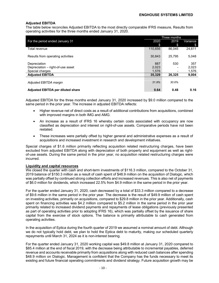#### **Adjusted EBITDA**

The table below reconciles Adjusted EBITDA to the most directly comparable IFRS measure, Results from operating activities for the three months ended January 31, 2020.

|                                          | Three months |                          |          |  |
|------------------------------------------|--------------|--------------------------|----------|--|
| For the period ended January 31          | 2020         | 2019                     | Variance |  |
|                                          | \$           | \$                       | S        |  |
| Total revenue                            | 110.656      | 86.045                   | 24.611   |  |
|                                          |              |                          |          |  |
| Results from operating activities        | 30.843       | 25.795                   | 5,048    |  |
|                                          |              |                          |          |  |
| Depreciation                             | 887          | 530                      | 357      |  |
| Depreciation - right-of-use asset        | 2,023        |                          | 2.023    |  |
| Special charges                          | 1.576        | $\overline{\phantom{0}}$ | 1,576    |  |
| <b>Adjusted EBITDA</b>                   | 35,329       | 26.325                   | 9,004    |  |
|                                          |              |                          |          |  |
| Adjusted EBITDA margin                   | 31.9%        | 30.6%                    |          |  |
|                                          |              |                          |          |  |
| <b>Adjusted EBITDA per diluted share</b> | 0.64         | 0.48                     | 0.16     |  |

Adjusted EBITDA for the three months ended January 31, 2020 increased by \$9.0 million compared to the same period in the prior year. The increase in adjusted EBITDA reflects:

- Higher revenue net of direct costs as a result of additional contributions from acquisitions, combined with improved margins in both IMG and AMG.
- An increase as a result of IFRS 16 whereby certain costs associated with occupancy are now classified as depreciation and interest on right-of-use assets. Comparative periods have not been restated.
- These increases were partially offset by higher general and administrative expenses as a result of acquisitions and increased investment in research and development initiatives.

Special charges of \$1.6 million primarily reflecting acquisition related restructuring charges, have been excluded from adjusted EBITDA along with depreciation of both property and equipment as well as rightof-use assets. During the same period in the prior year, no acquisition related restructuring charges were incurred.

#### **Liquidity and capital resources**

We closed the quarter with cash and short-term investments of \$116.3 million, compared to the October 31, 2019 balance of \$150.3 million as a result of cash spent of \$48.9 million on the acquisition of Dialogic, which was partially offset by continued strong collection efforts and increased revenues. This is also net of payments of \$6.0 million for dividends, which increased 22.5% from \$4.9 million in the same period in the prior year.

For the quarter ended January 31, 2020, cash decreased by a total of \$33.3 million compared to a decrease of \$9.6 million in the same period in the prior year. The decrease is the result of \$49.9 million of cash spent on investing activities, primarily on acquisitions, compared to \$29.8 million in the prior year. Additionally, cash spent on financing activities was \$4.2 million compared to \$5.2 million in the same period in the prior year primarily related to increased dividend payments and repayments of lease obligations (previously presented as part of operating activities prior to adopting IFRS 16), which was partially offset by the issuance of share capital from the exercise of stock options. The balance is primarily attributable to cash generated from operating activities.

In the acquisition of Eptica during the fourth quarter of 2019 we assumed a nominal amount of debt. Although we do not typically hold debt, we plan to hold the Eptica debt to maturity, making our scheduled quarterly repayments until March 31, 2024 as it is non-interest bearing.

For the quarter ended January 31, 2020 working capital was \$49.8 million at January 31, 2020 compared to \$85.4 million at the end of fiscal 2019, with the decrease being attributable to incremental payables, deferred revenue and accounts receivable primarily from acquisitions along with reduced cash balances after spending \$48.9 million on Dialogic. Management is confident that the Company has the funds necessary to meet its existing and future financial operating commitments and dividend strategy. Future acquisition growth may be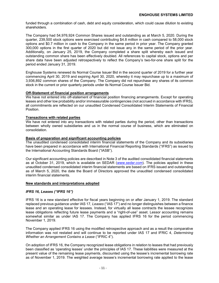funded through a combination of cash, debt and equity consideration, which could cause dilution to existing shareholders.

The Company had 54,976,924 Common Shares issued and outstanding as at March 5, 2020. During the quarter, 239,500 stock options were exercised contributing \$4.8 million in cash compared to 58,000 stock options and \$0.7 million in cash to the Company in the same period in prior year. The Company granted 300,000 options in the first quarter of 2020 but did not issue any in the same period of the prior year. Additionally, on January 25, 2019, the Company completed a share split whereby each issued and outstanding common share has been effectively doubled. All references to capital stock, options and per share data have been adjusted retrospectively to reflect the Company's two-for-one share split for the period ended January 31, 2019.

Enghouse Systems renewed its Normal Course Issuer Bid in the second quarter of 2019 for a further year commencing April 30, 2019 and expiring April 30, 2020, whereby it may repurchase up to a maximum of 3,936,892 common shares of the Company. The Company did not repurchase any shares of its common stock in the current or prior quarterly periods under its Normal Course Issuer Bid.

#### **Off-Statement of financial position arrangements**

We have not entered into off-statement of financial position financing arrangements. Except for operating leases and other low probability and/or immeasurable contingencies (not accrued in accordance with IFRS), all commitments are reflected on our unaudited Condensed Consolidated Interim Statements of Financial Position.

#### **Transactions with related parties**

We have not entered into any transactions with related parties during the period, other than transactions between wholly owned subsidiaries and us in the normal course of business, which are eliminated on consolidation.

#### **Basis of preparation and significant accounting policies**

The unaudited condensed consolidated interim financial statements of the Company and its subsidiaries have been prepared in accordance with International Financial Reporting Standards ("IFRS") as issued by the International Accounting Standards Board ("IASB").

Our significant accounting policies are described in Note 3 of the audited consolidated financial statements as at October 31, 2019, which is available on SEDAR (*www.sedar.com*). The policies applied in these unaudited condensed consolidated interim financial statements are based on IFRS issued and outstanding as of March 5, 2020, the date the Board of Directors approved the unaudited condensed consolidated interim financial statements.

#### **New standards and interpretations adopted**

#### *IFRS 16, Leases ("IFRS 16")*

IFRS 16 is a new standard effective for fiscal years beginning on or after January 1, 2019. The standard replaced previous guidance under IAS 17*, Leases* ("IAS 17") and no longer distinguishes between a finance lease and an operating lease for lessees. Instead, for virtually all lease contracts the lessee recognizes lease obligations reflecting future lease payments and a "right-of-use" asset. Lessor accounting remains somewhat similar as under IAS 17. The Company has applied IFRS 16 for the period commencing November 1, 2019.

The Company applied IFRS 16 using the modified retrospective approach and as a result the comparative information was not restated and will continue to be reported under IAS 17 and IFRIC 4, *Determining Whether an Arrangement Contains a Lease* ("IFRIC 4").

On adoption of IFRS 16, the Company recognized lease obligations in relation to leases that had previously been classified as 'operating leases' under the principles of IAS 17*.* These liabilities were measured at the present value of the remaining lease payments, discounted using the lessee's incremental borrowing rate as of November 1, 2019. The weighted average lessee's incremental borrowing rate applied to the lease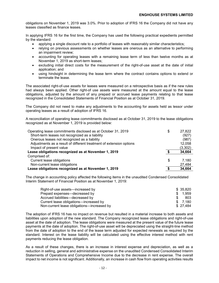obligations on November 1, 2019 was 3.0%. Prior to adoption of IFRS 16 the Company did not have any leases classified as finance leases.

In applying IFRS 16 for the first time, the Company has used the following practical expedients permitted by the standard:

- applying a single discount rate to a portfolio of leases with reasonably similar characteristics;
- relying on previous assessments on whether leases are onerous as an alternative to performing an impairment review;
- accounting for operating leases with a remaining lease term of less than twelve months as at November 1, 2019 as short-term leases;
- excluding initial direct costs for the measurement of the right-of-use asset at the date of initial application; and
- using hindsight in determining the lease term where the contract contains options to extend or terminate the lease.

The associated right-of-use assets for leases were measured on a retrospective basis as if the new rules had always been applied. Other right-of use assets were measured at the amount equal to the lease obligations, adjusted by the amount of any prepaid or accrued lease payments relating to that lease recognized in the Consolidated Statements of Financial Position as at October 31, 2019.

The Company did not need to make any adjustments to the accounting for assets held as lessor under operating leases as a result of adoption of IFRS 16.

A reconciliation of operating lease commitments disclosed as at October 31, 2019 to the lease obligations recognized as at November 1, 2019 is provided below:

| Operating lease commitments disclosed as at October 31, 2019        | \$<br>27,822 |
|---------------------------------------------------------------------|--------------|
| Short-term leases not recognized as a liability                     | (927)        |
| Onerous leases not recognized as a liability                        | (987)        |
| Adjustments as a result of different treatment of extension options | 12,058       |
| Impact of present value                                             | (3,302)      |
| Lease obligations recognized as at November 1, 2019                 | 34,664       |
| Comprised of:                                                       |              |
| Current lease obligations                                           | \$<br>7.180  |
| Non-current lease obligations                                       | 27,484       |
| Lease obligations recognized as at November 1, 2019                 | 34,664       |

The change in accounting policy affected the following items in the unaudited Condensed Consolidated Interim Statement of Financial Position as at November 1, 2019:

| Right-of-use assets—increased by           |    | \$ 35.820 |
|--------------------------------------------|----|-----------|
| Prepaid expenses—decreased by              | S. | 1.959     |
| Accrued liabilities—decreased by           |    | 803       |
| Current lease obligations—increased by     |    | \$ 7.180  |
| Non-current lease obligations-increased by |    | \$27.484  |

The adoption of IFRS 16 has no impact on revenue but resulted in a material increase to both assets and liabilities upon adoption of the new standard. The Company recognized lease obligations and right-of-use asset at the date of adoption. The lease obligations were measured at the present value of the future lease payments at the date of adoption. The right-of-use asset will be depreciated using the straight-line method from the date of adoption to the end of the lease term adjusted for expected renewals as required by the standard. Interest on the lease liability will be calculated using the effective interest method with rent payments reducing the lease obligation.

As a result of these changes, there is an increase in interest expense and depreciation, as well as a reduction in selling, general and administrative expense on the unaudited Condensed Consolidated Interim Statements of Operations and Comprehensive Income due to the decrease in rent expense. The overall impact to net income is not significant. Additionally, an increase in cash flow from operating activities results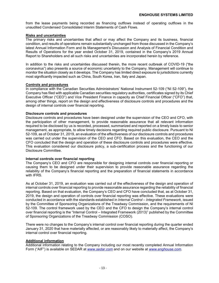from the lease payments being recorded as financing outflows instead of operating outflows in the unaudited Condensed Consolidated Interim Statements of Cash Flows.

#### **Risks and uncertainties**

The primary risks and uncertainties that affect or may affect the Company and its business, financial condition, and results of operations remain substantially unchanged from those discussed in the Company's latest Annual Information Form and its Management's Discussion and Analysis of Financial Condition and Results of Operations for the year ended October 31, 2019, contained in the Company's 2019 Annual Report to Shareholders and all such risks and uncertainties are incorporated herein by reference.

In addition to the risks and uncertainties discussed therein, the more recent outbreak of COVID-19 ("the coronavirus") also presents a source of economic uncertainty to the Company. Management will continue to monitor the situation closely as it develops. The Company has limited direct exposure to jurisdictions currently most significantly impacted such as China, South Korea, Iran, Italy and Japan.

#### **Controls and procedures**

In compliance with the Canadian Securities Administrators' National Instrument 52-109 ("NI 52-109"), the Company has filed with applicable Canadian securities regulatory authorities, certificates signed by its Chief Executive Officer ("CEO") and Vice President Finance in capacity as Chief Financial Officer ("CFO") that, among other things, report on the design and effectiveness of disclosure controls and procedures and the design of internal controls over financial reporting.

#### **Disclosure controls and procedures**

Disclosure controls and procedures have been designed under the supervision of the CEO and CFO, with the participation of other management, to provide reasonable assurance that all relevant information required to be disclosed by us is recorded, processed, summarized and reported on a timely basis to senior management, as appropriate, to allow timely decisions regarding required public disclosure. Pursuant to NI 52-109, as of October 31, 2019, an evaluation of the effectiveness of our disclosure controls and procedures was carried out under the supervision of the CEO and CFO. Based on this evaluation, the CEO and the CFO concluded that the design and operation of these disclosure controls and procedures were effective. This evaluation considered our disclosure policy, a sub-certification process and the functioning of our Disclosure Committee.

#### **Internal controls over financial reporting**

The Company's CEO and CFO are responsible for designing internal controls over financial reporting or causing them to be designed under their supervision to provide reasonable assurance regarding the reliability of the Company's financial reporting and the preparation of financial statements in accordance with IFRS.

As at October 31, 2019, an evaluation was carried out of the effectiveness of the design and operation of internal controls over financial reporting to provide reasonable assurance regarding the reliability of financial reporting. Based on that evaluation, the Company's CEO and CFO have concluded that, as at October 31, 2019, the design and operation of controls over financial reporting was effective. These evaluations were conducted in accordance with the standards established in *Internal Control – Integrated Framework*, issued by the Committee of Sponsoring Organizations of the Treadway Commission, and the requirements of NI 52-109. The control framework used by the CEO and the CFO to design the Company's internal control over financial reporting is the "Internal Control – Integrated Framework (2013)" published by the Committee of Sponsoring Organizations of the Treadway Commission (COSO).

There were no changes to the Company's internal control over financial reporting during the quarter ended January 31, 2020 that have materially affected, or are reasonably likely to materially affect, the Company's internal control over financial reporting.

#### **Additional information**

Additional information relating to the Company including our most recently completed Annual Information Form ("AIF") is available on SEDAR at *www.sedar.com* and on our website at *www.enghouse.com*.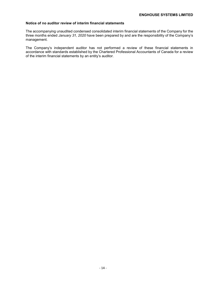#### **Notice of no auditor review of interim financial statements**

The accompanying unaudited condensed consolidated interim financial statements of the Company for the three months ended *January 31, 2020* have been prepared by and are the responsibility of the Company's management.

The Company's independent auditor has not performed a review of these financial statements in accordance with standards established by the Chartered Professional Accountants of Canada for a review of the interim financial statements by an entity's auditor.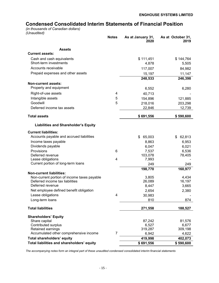# **Condensed Consolidated Interim Statements of Financial Position**

*(in thousands of Canadian dollars) (Unaudited)*

|                                                                                | <b>Notes</b>   | As at January 31,<br>2020 | As at October 31,<br>2019 |
|--------------------------------------------------------------------------------|----------------|---------------------------|---------------------------|
| <b>Assets</b>                                                                  |                |                           |                           |
| <b>Current assets:</b>                                                         |                |                           |                           |
| Cash and cash equivalents                                                      |                | \$111,451                 | \$144,764                 |
| Short-term investments                                                         |                | 4,878                     | 5,505                     |
| Accounts receivable                                                            |                | 117,007                   | 84,982                    |
| Prepaid expenses and other assets                                              |                | 15,197                    | 11,147                    |
|                                                                                |                | 248,533                   | 246,398                   |
| Non-current assets:                                                            |                |                           |                           |
| Property and equipment                                                         |                | 6,552                     | 6,280                     |
| Right-of-use assets                                                            | 4              | 40,713                    |                           |
| Intangible assets                                                              | 5              | 154,896                   | 121,885                   |
| Goodwill                                                                       | 5              | 218,016                   | 203,298                   |
| Deferred income tax assets                                                     |                | 22,846                    | 12,739                    |
| <b>Total assets</b>                                                            |                | \$691,556                 | \$590,600                 |
| <b>Liabilities and Shareholder's Equity</b>                                    |                |                           |                           |
| <b>Current liabilities:</b>                                                    |                |                           |                           |
| Accounts payable and accrued liabilities                                       |                | \$<br>65,003              | 62,813<br>\$              |
| Income taxes payable                                                           |                | 8,863                     | 6,953                     |
| Dividends payable                                                              |                | 6,047                     | 6,021                     |
| Provisions                                                                     | 6              | 7,537                     | 6,536                     |
| Deferred revenue                                                               |                | 103,078                   | 78,405                    |
| Lease obligations                                                              | 4              | 7,993                     |                           |
| Current portion of long-term loans                                             |                | 249                       | 249                       |
|                                                                                |                | 198,770                   | 160,977                   |
| <b>Non-current liabilities:</b>                                                |                |                           |                           |
| Non-current portion of income taxes payable<br>Deferred income tax liabilities |                | 3,805<br>26,089           | 4,434<br>16,197           |
| Deferred revenue                                                               |                | 8,447                     | 3,665                     |
| Net employee defined benefit obligation                                        |                | 2,654                     | 2,380                     |
| Lease obligations                                                              | 4              | 30,983                    |                           |
| Long-term loans                                                                |                | 810                       | 874                       |
| <b>Total liabilities</b>                                                       |                | 271,558                   | 188,527                   |
|                                                                                |                |                           |                           |
| <b>Shareholders' Equity</b><br>Share capital                                   |                | 87,242                    | 81,576                    |
| Contributed surplus                                                            |                | 6,527                     | 6,677                     |
| Retained earnings                                                              |                | 319,287                   | 309,198                   |
| Accumulated other comprehensive income                                         | $\overline{7}$ | 6,942                     | 4,622                     |
| <b>Total shareholders' equity</b>                                              |                | 419,998                   | 402,073                   |
| Total liabilities and shareholders' equity                                     |                | \$691,556                 | \$590,600                 |

*The accompanying notes form an integral part of these unaudited condensed consolidated interim financial statements*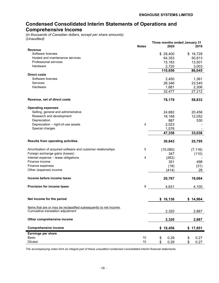# **Condensed Consolidated Interim Statements of Operations and Comprehensive Income**

*(in thousands of Canadian dollars, except per share amounts) (Unaudited)*

|                                                                   |              | Three months ended January 31 |            |
|-------------------------------------------------------------------|--------------|-------------------------------|------------|
|                                                                   | <b>Notes</b> | 2020                          | 2019       |
| <b>Revenue</b>                                                    |              |                               |            |
| Software licenses                                                 |              | \$28,400                      | \$18,728   |
| Hosted and maintenance services                                   |              | 64,353                        | 50,813     |
| Professional services                                             |              | 15,183                        | 13,501     |
| Hardware                                                          |              | 2,720                         | 3,003      |
|                                                                   |              | 110,656                       | 86,045     |
| <b>Direct costs</b>                                               |              |                               |            |
| Software licenses                                                 |              | 2,450                         | 1,361      |
| Services                                                          |              | 28,346                        | 23,545     |
| Hardware                                                          |              | 1,681                         | 2,306      |
|                                                                   |              | 32,477                        | 27,212     |
| Revenue, net of direct costs                                      |              | 78,179                        | 58,833     |
| <b>Operating expenses</b>                                         |              |                               |            |
| Selling, general and administrative                               |              | 24,682                        | 20,456     |
| Research and development                                          |              | 18,168                        | 12,052     |
| Depreciation                                                      |              | 887                           | 530        |
| Depreciation - right-of-use assets                                | 4            | 2,023                         |            |
| Special charges                                                   |              | 1,576                         |            |
|                                                                   |              |                               | 33,038     |
|                                                                   |              | 47,336                        |            |
| <b>Results from operating activities</b>                          |              | 30,843                        | 25,795     |
| Amortization of acquired software and customer relationships      | 5            | (10,080)                      | (7, 116)   |
| Foreign exchange gains (losses)                                   |              | 347                           | (110)      |
| Interest expense - lease obligations                              | 4            | (262)                         |            |
| Finance income                                                    |              | 351                           | 498        |
| Finance expenses                                                  |              | (18)                          | (31)       |
| Other (expense) income                                            |              | (414)                         | 28         |
|                                                                   |              |                               |            |
| Income before income taxes                                        |              | 20,767                        | 19,064     |
| <b>Provision for income taxes</b>                                 | 9            | 4,631                         | 4,100      |
|                                                                   |              |                               |            |
| Net income for the period                                         |              | \$16,136                      | \$14,964   |
|                                                                   |              |                               |            |
| Items that are or may be reclassified subsequently to net income: |              |                               |            |
| Cumulative translation adjustment                                 |              | 2,320                         | 2,887      |
|                                                                   |              |                               |            |
| Other comprehensive income                                        |              | 2,320                         | 2,887      |
| <b>Comprehensive income</b>                                       |              | \$18,456                      | \$17,851   |
|                                                                   |              |                               |            |
| <b>Earnings per share</b>                                         |              |                               |            |
| Basic                                                             | 10           | \$<br>0.29                    | \$<br>0.27 |
| <b>Diluted</b>                                                    | 10           | \$<br>0.29                    | \$<br>0.27 |

*The accompanying notes form an integral part of these unaudited condensed consolidated interim financial statements.*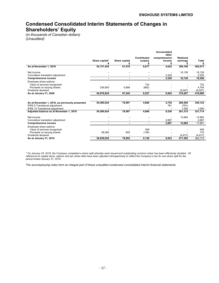# **Condensed Consolidated Interim Statements of Changes in Shareholders' Equity**

*(in thousands of Canadian dollars) (Unaudited)*

|                                                                                                             | Share capital* | Share capital | Contributed<br>surplus | <b>Accumulated</b><br>other<br>comprehensive<br>income | Retained<br>earnings | Total                     |
|-------------------------------------------------------------------------------------------------------------|----------------|---------------|------------------------|--------------------------------------------------------|----------------------|---------------------------|
| As at November 1, 2019                                                                                      | 54,737,424     | 81,576        | 6,677                  | 4,622                                                  | 309,198              | 402,073                   |
| Net income<br>Cumulative translation adjustment<br><b>Comprehensive income</b>                              |                |               |                        | 2,320<br>2,320                                         | 16,136<br>16,136     | 16,136<br>2,320<br>18,456 |
|                                                                                                             |                |               |                        |                                                        |                      |                           |
| Employee share options:<br>Value of services recognized<br>Proceeds on issuing shares<br>Dividends declared | 239,500        | 5,666         | 732<br>(882)           |                                                        | (6,047)              | 732<br>4.784<br>(6,047)   |
| As at January 31, 2020                                                                                      | 54,976,924     | 87,242        | 6,527                  | 6,942                                                  | 319,287              | 419,998                   |
|                                                                                                             |                |               |                        |                                                        |                      |                           |
| As at November 1, 2018, as previously presented<br>IFRS 9 Transitional adjustment                           | 54,580,024     | 78,997        | 4,866                  | 5,755<br>781                                           | 260,506<br>(781)     | 350,124                   |
| <b>IFRS 15 Transitional adjustment</b>                                                                      |                |               |                        |                                                        | 1.590                | 1,590                     |
| Adjusted balance as at November 1, 2018                                                                     | 54,580,024     | 78,997        | 4,866                  | 6,536                                                  | 261,315              | 351,714                   |
| Net income                                                                                                  |                |               |                        |                                                        | 14,964               | 14,964                    |
| Cumulative translation adjustment                                                                           |                |               |                        | 2,887                                                  |                      | 2.887                     |
| <b>Comprehensive income</b>                                                                                 | $\blacksquare$ |               |                        | 2.887                                                  | 14.964               | 17.851                    |
| Employee share options:<br>Value of services recognized<br>Proceeds on issuing shares                       | 58,000         | 855           | 408<br>(136)           |                                                        |                      | 408<br>719                |
| Dividends declared<br>As at January 31, 2019                                                                | 54,638,024     | 79,852        | 5,138                  | 9,423                                                  | (4, 917)<br>271,362  | (4, 917)<br>365,775       |
|                                                                                                             |                |               |                        |                                                        |                      |                           |

*\* On January 25, 2019, the Company completed a share split whereby each issued and outstanding common share has been effectively doubled. All references to capital stock, options and per share data have been adjusted retrospectively to reflect the Company's two for one share split for the period ended January 31, 2019.*

*The accompanying notes form an integral part of these unaudited condensed consolidated interim financial statements.*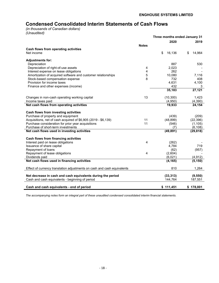# **Condensed Consolidated Interim Statements of Cash Flows**

*(in thousands of Canadian dollars) (Unaudited)*

|                                                                         |              | Three months ended January 31 |              |
|-------------------------------------------------------------------------|--------------|-------------------------------|--------------|
|                                                                         |              | 2020                          | 2019         |
|                                                                         | <b>Notes</b> |                               |              |
| Cash flows from operating activities                                    |              |                               |              |
| Net income                                                              |              | \$<br>16,136                  | \$<br>14,964 |
| <b>Adjustments for:</b>                                                 |              |                               |              |
| Depreciation                                                            |              | 887                           | 530          |
| Depreciation of right-of-use assets                                     | 4            | 2,023                         |              |
| Interest expense on lease obligations                                   | 4            | 262                           |              |
| Amortization of acquired software and customer relationships            | 5            | 10,080                        | 7,116        |
| Stock-based compensation expense                                        | 8            | 732                           | 408          |
| Provision for income taxes                                              |              | 4,631                         | 4,100        |
| Finance and other expenses (income)                                     |              | 432                           | 3            |
|                                                                         |              | 35,183                        | 27,121       |
| Changes in non-cash operating working capital                           | 13           | (10, 300)                     | 1,423        |
| Income taxes paid                                                       |              | (4,950)                       | (4,390)      |
| Net cash flows from operating activities                                |              | 19,933                        | 24,154       |
| Cash flows from investing activities                                    |              |                               |              |
| Purchase of property and equipment                                      |              | (439)                         | (209)        |
| Acquisitions, net of cash acquired of \$6,905 (2019 - \$6,139)          | 11           | (48, 899)                     | (22, 396)    |
| Purchase consideration for prior year acquisitions                      | 11           | (546)                         | (1, 105)     |
| Purchase of short-term investments                                      |              | (7)                           | (6, 108)     |
| Net cash flows used in investing activities                             |              | (49, 891)                     | (29, 818)    |
| <b>Cash flows from financing activities</b>                             |              |                               |              |
| Interest paid on lease obligations                                      | 4            | (262)                         |              |
| Issuance of share capital                                               |              | 4.784                         | 719          |
| Repayment of loans                                                      |              | (62)                          | (957)        |
| Repayment of lease obligations                                          | 4            | (2,604)                       |              |
| Dividends paid                                                          |              | (6,021)                       | (4, 912)     |
| Net cash flows used in financing activities                             |              | (4, 165)                      | (5, 150)     |
| Effect of currency translation adjustments on cash and cash equivalents |              | 810                           | 1,264        |
| Net decrease in cash and cash equivalents during the period             |              | (33, 313)                     | (9, 550)     |
| Cash and cash equivalents - beginning of period                         |              | 144,764                       | 187,551      |
|                                                                         |              |                               |              |
| Cash and cash equivalents - end of period                               |              | \$111,451                     | \$178,001    |

*The accompanying notes form an integral part of these unaudited condensed consolidated interim financial statements.*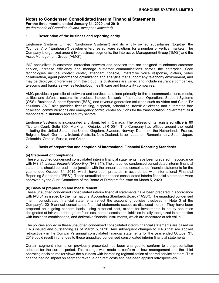**For the three months ended January 31, 2020 and 2019**

*(in thousands of Canadian dollars, except as indicated)*

#### **1. Description of the business and reporting entity**

Enghouse Systems Limited ("Enghouse Systems") and its wholly owned subsidiaries (together the "Company" or "Enghouse") develop enterprise software solutions for a number of vertical markets. The Company is organized around two business segments: the Interactive Management Group ("IMG") and the Asset Management Group ("AMG").

IMG specializes in customer interaction software and services that are designed to enhance customer service, increase efficiency and manage customer communications across the enterprise. Core technologies include contact center, attendant console, interactive voice response, dialers, video collaboration, agent performance optimization and analytics that support any telephony environment, and may be deployed on-premise or in the cloud. Its customers are varied and include insurance companies, telecoms and banks as well as technology, health care and hospitality companies.

AMG provides a portfolio of software and services solutions primarily to the telecommunications, media, utilities and defense sectors. Its products include Network infrastructure, Operations Support Systems (OSS), Business Support Systems (BSS), and revenue generation solutions such as Video and Cloud TV solutions. AMG also provides fleet routing, dispatch, scheduling, transit e-ticketing and automated fare collection, communications and emergency control center solutions for the transportation, government, first responders, distribution and security sectors.

Enghouse Systems is incorporated and domiciled in Canada. The address of its registered office is 80 Tiverton Court, Suite 800, Markham, Ontario, L3R 0G4. The Company has offices around the world including the United States, the United Kingdom, Sweden, Norway, Denmark, the Netherlands, France, Belgium, Brazil, Germany, Ireland, Australia, New Zealand, Israel, Lebanon, Romania, Italy, Spain, Japan, Colombia, Croatia, Russia, and China.

#### **2. Basis of preparation and adoption of International Financial Reporting Standards**

#### **(a) Statement of compliance**

These unaudited condensed consolidated interim financial statements have been prepared in accordance with IAS 34, *Interim Financial Reporting* ("IAS 34"). The unaudited condensed consolidated interim financial statements should be read in conjunction with the annual audited consolidated financial statements for the year ended October 31, 2019, which have been prepared in accordance with International Financial Reporting Standards ("IFRS"). These unaudited condensed consolidated interim financial statements were approved by the Audit Committee of the Board of Directors for issue on March 5, 2020.

#### **(b) Basis of preparation and measurement**

These unaudited condensed consolidated interim financial statements have been prepared in accordance with IAS 34 as issued by the International Accounting Standards Board ("IASB"). The unaudited condensed interim consolidated financial statements reflect the accounting policies disclosed in Note 3 of the Company's 2019 annual consolidated financial statements except as disclosed herein. They have been prepared on a going concern basis, using historical cost, except for investments in equity securities designated at fair value through profit or loss, certain assets and liabilities initially recognized in connection with business combinations, and derivative financial instruments, which are measured at fair value.

The policies applied in these unaudited condensed consolidated interim financial statements are based on IFRS issued and outstanding as of March 5, 2020. Any subsequent changes to IFRS that are applied retroactively in the Company's annual consolidated financial statements for the year ended October 31, 2019 could result in changes to these unaudited condensed consolidated interim financial statements.

Certain segment information previously presented has been changed to conform to the presentation adopted for the current period. This change was made to conform to how management and the chief operating decision maker views the business with increasing regionalization of shared service centers. This change had no impact on segment revenue or direct costs and has been applied retrospectively.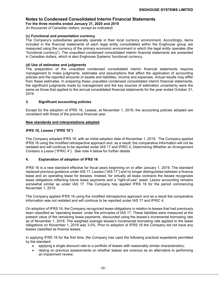**For the three months ended January 31, 2020 and 2019**

*(in thousands of Canadian dollars, except as indicated)*

#### **(c) Functional and presentation currency**

The Company's subsidiaries generally operate in their local currency environment. Accordingly, items included in the financial statements of each legal entity consolidated within the Enghouse group are measured using the currency of the primary economic environment in which the legal entity operates (the "functional currency"). The unaudited condensed consolidated interim financial statements are presented in Canadian dollars, which is also Enghouse Systems' functional currency.

#### **(d) Use of estimates and judgments**

The preparation of the unaudited condensed consolidated interim financial statements requires management to make judgments, estimates and assumptions that affect the application of accounting policies and the reported amounts of assets and liabilities, income and expenses. Actual results may differ from these estimates. In preparing these unaudited condensed consolidated interim financial statements, the significant judgments made by management and the key sources of estimation uncertainty were the same as those that applied to the annual consolidated financial statements for the year ended October 31, 2019.

#### **3. Significant accounting policies**

Except for the adoption of IFRS 16, Leases, at November 1, 2019, the accounting policies adopted are consistent with those of the previous financial year.

#### **New standards and interpretations adopted**

#### *IFRS 16, Leases ("IFRS 16")*

The Company adopted IFRS 16, with an initial adoption date of November 1, 2019. The Company applied IFRS 16 using the modified retrospective approach and, as a result, the comparative information will not be restated and will continue to be reported under IAS 17 and IFRIC 4, *Determining Whether an Arrangement Contains a Lease* ("IFRIC 4"). See note 4 below for further details.

#### **4. Explanation of adoption of IFRS 16**

IFRS 16 is a new standard effective for fiscal years beginning on or after January 1, 2019. The standard replaced previous guidance under IAS 17*, Leases* ("IAS 17") and no longer distinguishes between a finance lease and an operating lease for lessees. Instead, for virtually all lease contracts the lessee recognizes lease obligations reflecting future lease payments and a "right-of-use" asset. Lessor accounting remains somewhat similar as under IAS 17. The Company has applied IFRS 16 for the period commencing November 1, 2019.

The Company applied IFRS 16 using the modified retrospective approach and as a result the comparative information was not restated and will continue to be reported under IAS 17 and IFRIC 4.

On adoption of IFRS 16, the Company recognized lease obligations in relation to leases that had previously been classified as 'operating leases' under the principles of IAS 17*.* These liabilities were measured at the present value of the remaining lease payments, discounted using the lessee's incremental borrowing rate as of November 1, 2019. The weighted average lessee's incremental borrowing rate applied to the lease obligations on November 1, 2019 was 3.0%. Prior to adoption of IFRS 16 the Company did not have any leases classified as finance leases.

In applying IFRS 16 for the first time, the Company has used the following practical expedients permitted by the standard:

- applying a single discount rate to a portfolio of leases with reasonably similar characteristics;
- relying on previous assessments on whether leases are onerous as an alternative to performing an impairment review;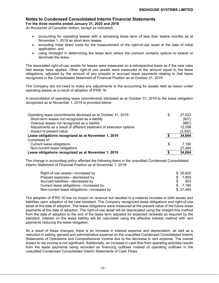**For the three months ended January 31, 2020 and 2019**

*(in thousands of Canadian dollars, except as indicated)*

- accounting for operating leases with a remaining lease term of less than twelve months as at November 1, 2019 as short-term leases;
- excluding initial direct costs for the measurement of the right-of-use asset at the date of initial application; and
- using hindsight in determining the lease term where the contract contains options to extend or terminate the lease.

The associated right-of-use assets for leases were measured on a retrospective basis as if the new rules had always been applied. Other right-of use assets were measured at the amount equal to the lease obligations, adjusted by the amount of any prepaid or accrued lease payments relating to that lease recognized in the Consolidated Statement of Financial Position as at October 31, 2019.

The Company did not need to make any adjustments to the accounting for assets held as lessor under operating leases as a result of adoption of IFRS 16.

A reconciliation of operating lease commitments disclosed as at October 31, 2019 to the lease obligation recognized as at November 1, 2019 is provided below:

| Operating lease commitments disclosed as at October 31, 2019        | \$<br>27,822 |
|---------------------------------------------------------------------|--------------|
| Short-term leases not recognized as a liability                     | (927)        |
| Onerous leases not recognized as a liability                        | (987)        |
| Adjustments as a result of different treatment of extension options | 12,058       |
| Impact of present value                                             | (3,302)      |
| Lease obligations recognized as at November 1, 2019                 | 34,664       |
| Comprised of:                                                       |              |
| Current lease obligations                                           | \$<br>7.180  |
| Non-current lease obligations                                       | 27,484       |
| Lease obligations recognized as at November 1, 2019                 | 34,664       |

The change in accounting policy affected the following items in the unaudited Condensed Consolidated Interim Statement of Financial Position as at November 1, 2019:

| Right-of-use assets—increased by           | \$ 35.820 |
|--------------------------------------------|-----------|
| Prepaid expenses—decreased by              | \$ 1.959  |
| Accrued liabilities—decreased by           | 803       |
| Current lease obligations—increased by     | \$ 7.180  |
| Non-current lease obligations-increased by | \$27.484  |

The adoption of IFRS 16 has no impact on revenue but resulted in a material increase to both assets and liabilities upon adoption of the new standard. The Company recognized lease obligations and right-of-use asset at the date of adoption. The lease obligations were measured at the present value of the future lease payments at the date of adoption. The right-of-use asset will be depreciated using the straight-line method from the date of adoption to the end of the lease term adjusted for expected renewals as required by the standard. Interest on the lease liability will be calculated using the effective interest method with rent payments reducing the lease obligation.

As a result of these changes, there is an increase in interest expense and depreciation, as well as a reduction in selling, general and administrative expense on the unaudited Condensed Consolidated Interim Statements of Operations and Comprehensive Income due to the decrease in rent expense. The overall impact to net income is not significant. Additionally, an increase in cash flow from operating activities results from the lease payments being recorded as financing outflows instead of operating outflows in the unaudited Condensed Consolidated Interim Statements of Cash Flows.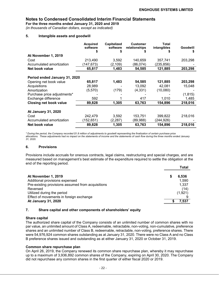**For the three months ended January 31, 2020 and 2019**

*(in thousands of Canadian dollars, except as indicated)*

#### **5. Intangible assets and goodwill**

|                               | <b>Acquired</b><br>software | <b>Capitalized</b><br>software | <b>Customer</b><br>relationships | Total<br>intangibles | Goodwill |
|-------------------------------|-----------------------------|--------------------------------|----------------------------------|----------------------|----------|
| At November 1, 2019           |                             |                                |                                  |                      |          |
| Cost                          | 213,490                     | 3,592                          | 140,659                          | 357,741              | 203,298  |
| Accumulated amortization      | (147, 673)                  | (2, 109)                       | (86,074)                         | (235,856)            |          |
| Net book value                | 65,817                      | 1,483                          | 54,585                           | 121,885              | 203,298  |
| Period ended January 31, 2020 |                             |                                |                                  |                      |          |
| Opening net book value        | 65,817                      | 1,483                          | 54,585                           | 121,885              | 203,298  |
| Acquisitions                  | 28,989                      |                                | 13,092                           | 42,081               | 15,048   |
| Amortization                  | (5,570)                     | (179)                          | (4, 331)                         | (10,080)             |          |
| Purchase price adjustments*   |                             |                                |                                  |                      | (1, 815) |
| Exchange difference           | 592                         |                                | 417                              | 1,010                | 1,485    |
| <b>Closing net book value</b> | 89,828                      | 1,305                          | 63,763                           | 154,896              | 218,016  |
| At January 31, 2020           |                             |                                |                                  |                      |          |
| Cost                          | 242,479                     | 3,592                          | 153,751                          | 399,822              | 218,016  |
| Accumulated amortization      | (152, 651)                  | (2, 287)                       | (89,988)                         | (244,926)            |          |
| Net book value                | 89,828                      | 1,305                          | 63,763                           | 154,896              | 218,016  |

*\* During the period, the Company recorded \$1.8 million of adjustments to goodwill representing the finalization of certain purchase price allocations. These adjustments had no impact on the statements of income and the statements of cash flow during the three months ended January 31, 2020.*

#### **6. Provisions**

Provisions include accruals for onerous contracts, legal claims, restructuring and special charges, and are measured based on management's best estimate of the expenditure required to settle the obligation at the end of the reporting period.

|                                                   |   | Total   |
|---------------------------------------------------|---|---------|
| At November 1, 2019                               | S | 6.536   |
| Additional provisions expensed                    |   | 1.590   |
| Pre-existing provisions assumed from acquisitions |   | 1,337   |
| Reversed                                          |   | (14)    |
| Utilized during the period                        |   | (1,921) |
| Effect of movements in foreign exchange           |   |         |
| <b>At January 31, 2020</b>                        |   | 7,537   |

#### **7. Share capital and other components of shareholders' equity**

#### **Share capital**

The authorized share capital of the Company consists of an unlimited number of common shares with no par value, an unlimited amount of Class A, redeemable, retractable, non-voting, non-cumulative, preference shares and an unlimited number of Class B, redeemable, retractable, non-voting, preference shares. There were 54,976,924 common shares outstanding as at January 31, 2020. There were no Class A and no Class B preference shares issued and outstanding as at either January 31, 2020 or October 31, 2019.

#### **Common share repurchase plan**

On April 26, 2019, the Company renewed its common share repurchase plan, whereby it may repurchase up to a maximum of 3,936,892 common shares of the Company, expiring on April 30, 2020. The Company did not repurchase any common shares in the first quarter of either fiscal 2020 or 2019.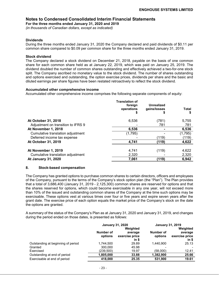**For the three months ended January 31, 2020 and 2019**

*(in thousands of Canadian dollars, except as indicated)*

#### **Dividends**

During the three months ended January 31, 2020 the Company declared and paid dividends of \$0.11 per common share compared to \$0.09 per common share for the three months ended January 31, 2019.

#### **Stock dividend**

The Company declared a stock dividend on December 21, 2018, payable on the basis of one common share for each common share held as at January 22, 2019, which was paid on January 25, 2019. The dividend doubled the number of common shares outstanding and effectively achieved a two-for-one stock split. The Company ascribed no monetary value to the stock dividend. The number of shares outstanding and options exercised and outstanding, the option exercise prices, dividends per share and the basic and diluted earnings per share figures have been restated retroactively to reflect the stock dividend.

#### **Accumulated other comprehensive income**

Accumulated other comprehensive income comprises the following separate components of equity:

|                                    | <b>Translation of</b><br>foreign<br>operations | <b>Unrealized</b><br>gains/losses<br>ъ | Total   |
|------------------------------------|------------------------------------------------|----------------------------------------|---------|
| At October 31, 2018                | 6,536                                          | (781)                                  | 5,755   |
| Adjustment on transition to IFRS 9 |                                                | 781                                    | 781     |
| At November 1, 2018                | 6,536                                          |                                        | 6,536   |
| Cumulative translation adjustment  | (1,795)                                        |                                        | (1,795) |
| Deferred income tax expense        |                                                | (119)                                  | (119)   |
| At October 31, 2019                | 4,741                                          | (119)                                  | 4,622   |
| At November 1, 2019                | 4,741                                          | (119)                                  | 4,622   |
| Cumulative translation adjustment  | 2,320                                          |                                        | 2,320   |
| <b>At January 31, 2020</b>         | 7,061                                          | (119)                                  | 6,942   |

#### **8. Stock-based compensation**

The Company has granted options to purchase common shares to certain directors, officers and employees of the Company, pursuant to the terms of the Company's stock option plan (the "Plan"). The Plan provides that a total of 3,686,400 (January 31, 2019 - 2,125,300) common shares are reserved for options and that the shares reserved for options, which could become exercisable in any one year, will not exceed more than 10% of the issued and outstanding common shares of the Company at the time such options may be exercisable. These options vest at various times over four or five years and expire seven years after the grant date. The exercise price of each option equals the market price of the Company's stock on the date the options are granted.

A summary of the status of the Company's Plan as at January 31, 2020 and January 31, 2019, and changes during the period ended on those dates, is presented as follows:

|                                    | <b>January 31, 2020</b> |                                                | <b>January 31, 2019</b> |                                                  |
|------------------------------------|-------------------------|------------------------------------------------|-------------------------|--------------------------------------------------|
|                                    | Number of<br>options    | Weighted<br>average<br>exercise price<br>in \$ | Number of<br>options    | Weighted<br>average<br>exercise price<br>$in$ \$ |
| Outstanding at beginning of period | 1.744.500               | 29.89                                          | 1.440.900               | 25.13                                            |
| Granted                            | 300.000                 | 45.98                                          |                         |                                                  |
| Exercised                          | (239,500)               | 19.97                                          | (58,000)                | 12.41                                            |
| Outstanding at end of period       | 1,805,000               | 33.88                                          | 1,382,900               | 25.66                                            |
| Exercisable at end of period       | 418.000                 | 25.35                                          | 531,900                 | 19.61                                            |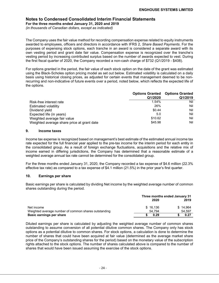**For the three months ended January 31, 2020 and 2019**

*(in thousands of Canadian dollars, except as indicated)*

The Company uses the fair value method for recording compensation expense related to equity instruments awarded to employees, officers and directors in accordance with IFRS 2, *Share Based Payments*. For the purposes of expensing stock options, each tranche in an award is considered a separate award with its own vesting period and grant date fair value. Compensation expense is recognized over the tranche's vesting period by increasing contributed surplus based on the number of awards expected to vest. During the first fiscal quarter of 2020, the Company recorded a non-cash charge of \$732 (Q1/2019 - \$408).

For options granted in the period, the fair value of each stock option on the date of the grant was estimated using the Black-Scholes option pricing model as set out below. Estimated volatility is calculated on a daily basis using historical closing prices, as adjusted for certain events that management deemed to be nonrecurring and non-indicative of future events over a period, noted below, which reflects the expected life of the options.

|                                            | Q1/2020 | <b>Options Granted Options Granted</b><br>Q1/2019 |
|--------------------------------------------|---------|---------------------------------------------------|
| Risk-free interest rate                    | 1.54%   | Nil                                               |
| <b>Estimated volatility</b>                | 26%     | Nil                                               |
| Dividend yield                             | \$0.44  | Nil                                               |
| Expected life (in years)                   | 5.0     | Nil                                               |
| Weighted average fair value                | \$10.62 | Nil                                               |
| Weighted average share price at grant date | \$45.98 | Nil                                               |

#### **9. Income taxes**

Income tax expense is recognized based on management's best estimate of the estimated annual income tax rate expected for the full financial year applied to the pre-tax income for the interim period for each entity in the consolidated group. As a result of foreign exchange fluctuations, acquisitions and the relative mix of income earned in differing jurisdictions, the Company has determined that a reasonable estimate of a weighted average annual tax rate cannot be determined for the consolidated group.

For the three months ended January 31, 2020, the Company recorded a tax expense of \$4.6 million (22.3% effective tax rate) as compared to a tax expense of \$4.1 million (21.5%) in the prior year's first quarter.

#### **10. Earnings per share**

Basic earnings per share is calculated by dividing Net income by the weighted average number of common shares outstanding during the period.

|                                                      | Three months ended January 31 |          |  |  |
|------------------------------------------------------|-------------------------------|----------|--|--|
|                                                      | 2020                          | 2019     |  |  |
| Net income                                           | \$16.136                      | \$14.964 |  |  |
| Weighted average number of common shares outstanding | 54.794                        | 54.597   |  |  |
| Basic earnings per share                             | 0.29                          | 0.27     |  |  |

Diluted earnings per share is calculated by adjusting the weighted average number of common shares outstanding to assume conversion of all potential dilutive common shares. The Company only has stock options as a potential dilutive to common shares. For stock options, a calculation is done to determine the number of shares that could have been acquired at fair value (determined as the average market share price of the Company's outstanding shares for the period) based on the monetary value of the subscription rights attached to the stock options. The number of shares calculated above is compared to the number of shares that would have been issued assuming the exercise of the stock options.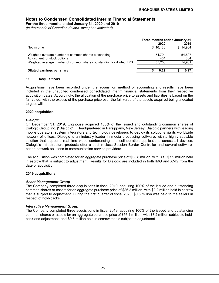**For the three months ended January 31, 2020 and 2019**

*(in thousands of Canadian dollars, except as indicated)*

|                                                                                      | Three months ended January 31        |  |  |  |
|--------------------------------------------------------------------------------------|--------------------------------------|--|--|--|
| Net income                                                                           | 2019<br>2020<br>\$14.964<br>\$16,136 |  |  |  |
| Weighted average number of common shares outstanding<br>Adjustment for stock options | 54.794<br>54,597<br>464<br>364       |  |  |  |
| Weighted average number of common shares outstanding for diluted EPS                 | 54,961<br>55.258                     |  |  |  |
| Diluted earnings per share                                                           | 0.29<br>0.27                         |  |  |  |

#### **11. Acquisitions**

Acquisitions have been recorded under the acquisition method of accounting and results have been included in the unaudited condensed consolidated interim financial statements from their respective acquisition dates. Accordingly, the allocation of the purchase price to assets and liabilities is based on the fair value, with the excess of the purchase price over the fair value of the assets acquired being allocated to goodwill.

#### **2020 acquisition**

#### *Dialogic*

On December 31, 2019, Enghouse acquired 100% of the issued and outstanding common shares of Dialogic Group Inc. ("Dialogic"). Headquartered in Parsippany, New Jersey, Dialogic partners with leading mobile operators, system integrators and technology developers to deploy its solutions via its worldwide network of offices. Dialogic is an industry leader in media processing software, with a highly scalable solution that supports real-time video conferencing and collaboration applications across all devices. Dialogic's infrastructure products offer a best-in-class Session Border Controller and several softwarebased network solutions to communication service providers.

The acquisition was completed for an aggregate purchase price of \$55.8 million, with U.S. \$7.9 million held in escrow that is subject to adjustment. Results for Dialogic are included in both IMG and AMG from the date of acquisition.

#### **2019 acquisitions**

#### *Asset Management Group*

The Company completed three acquisitions in fiscal 2019, acquiring 100% of the issued and outstanding common shares or assets for an aggregate purchase price of \$86.3 million, with \$2.2 million held in escrow that is subject to adjustment. During the first quarter of fiscal 2020, \$0.5 million was paid to the sellers in respect of hold-backs.

#### *Interactive Management Group*

The Company completed three acquisitions in fiscal 2019, acquiring 100% of the issued and outstanding common shares or assets for an aggregate purchase price of \$56.1 million, with \$3.2 million subject to holdback and adjustment, and \$0.6 million held in escrow that is subject to adjustment.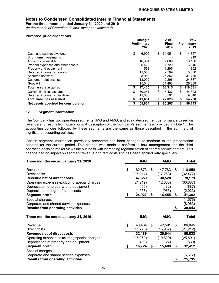**For the three months ended January 31, 2020 and 2019**

*(in thousands of Canadian dollars, except as indicated)*

#### **Purchase price allocations**

|                                       | <b>Dialogic</b><br>Preliminary<br>2020 |    | AMG<br><b>Final</b><br>2019 | IMG.<br><b>Preliminary</b><br>2019 |
|---------------------------------------|----------------------------------------|----|-----------------------------|------------------------------------|
| Cash and cash equivalents             | \$<br>6,905                            | \$ | 31,951                      | \$<br>4,757                        |
| Short-term investments                |                                        |    |                             | 219                                |
| Accounts receivable                   | 16,384                                 |    | 7,689                       | 13,166                             |
| Prepaid expenses and other assets     | 5.429                                  |    | 4.720                       | 3,846                              |
| Property and equipment                | 553                                    |    | 1.295                       | 302                                |
| Deferred income tax assets            | 11,035                                 |    | 2.509                       | 5,680                              |
| Acquired software                     | 28.989                                 |    | 26,362                      | 31,735                             |
| Customer relationships                | 13,092                                 |    | 12.296                      | 24,387                             |
| Goodwill                              | 15,048                                 |    | 21,493                      | 26,289                             |
| <b>Total assets acquired</b>          | 97,435                                 | S  | 108,315                     | \$<br>110,381                      |
| Current liabilities assumed           | \$<br>30.251                           | \$ | 15.437                      | \$<br>44.398                       |
| Deferred income tax liabilities       | 11,380                                 |    | 6,591                       | 9,840                              |
| <b>Total liabilities assumed</b>      | 41,631                                 | S  | 22,028                      | \$<br>54,238                       |
| Net assets acquired for consideration | 55.804                                 | \$ | 86.287                      | 56,143                             |

### **12. Segment information**

The Company has two operating segments, IMG and AMG, and evaluates segment performance based on revenue and results from operations. A description of the Company's segments is provided in Note 1. The accounting policies followed by these segments are the same as those described in the summary of significant accounting policies.

Certain segment information previously presented has been changed to conform to the presentation adopted for the current period. This change was made to conform to how management and the chief operating decision maker views the business with increasing regionalization of shared service centers. This change had no impact on segment revenue or direct costs and has been applied retrospectively.

| Three months ended January 31, 2020                                               | <b>IMG</b>   | <b>AMG</b>   | <b>Total</b>             |
|-----------------------------------------------------------------------------------|--------------|--------------|--------------------------|
| Revenue                                                                           | \$<br>62,873 | \$<br>47,783 | \$<br>110,656            |
| Direct costs                                                                      | (15,214)     | (17, 263)    |                          |
|                                                                                   |              |              | (32, 477)                |
| Revenue net of direct costs                                                       | 47,659       | 30,520       | 78,179                   |
| Operating expenses excluding special charges                                      | (21, 219)    | (12, 668)    | (33,887)                 |
| Depreciation of property and equipment                                            | (455)        | (432)        | (887)                    |
| Depreciation of right-of-use assets                                               | (1,058)      | (965)        | (2,023)                  |
| <b>Segment profit</b>                                                             | \$<br>24,927 | \$<br>16,455 | \$<br>41,382             |
| Special charges                                                                   |              |              | (1, 576)                 |
| Corporate and shared service expenses                                             |              |              | (8,963)                  |
| <b>Results from operating activities</b>                                          |              |              | \$<br>30,843             |
|                                                                                   |              |              |                          |
| Three months ended January 31, 2019                                               | <b>IMG</b>   | <b>AMG</b>   | Total                    |
|                                                                                   |              |              |                          |
| Revenue                                                                           | \$<br>43,464 | \$<br>42,581 | \$<br>86,045             |
| Direct costs                                                                      | (11, 275)    | (15, 937)    | (27,212)                 |
| Revenue net of direct costs                                                       | 32,189       | 26,644       | 58,833                   |
| Operating expenses excluding special charges                                      | (15,062)     | (10, 829)    | (25,891)                 |
| Depreciation of property and equipment                                            | (403)        | (127)        | (530)                    |
| <b>Segment profit</b>                                                             | \$<br>16,724 | \$<br>15,688 | \$<br>32,412             |
|                                                                                   |              |              |                          |
|                                                                                   |              |              |                          |
| Special charges                                                                   |              |              |                          |
| Corporate and shared service expenses<br><b>Results from operating activities</b> |              |              | \$<br>(6, 617)<br>25,795 |